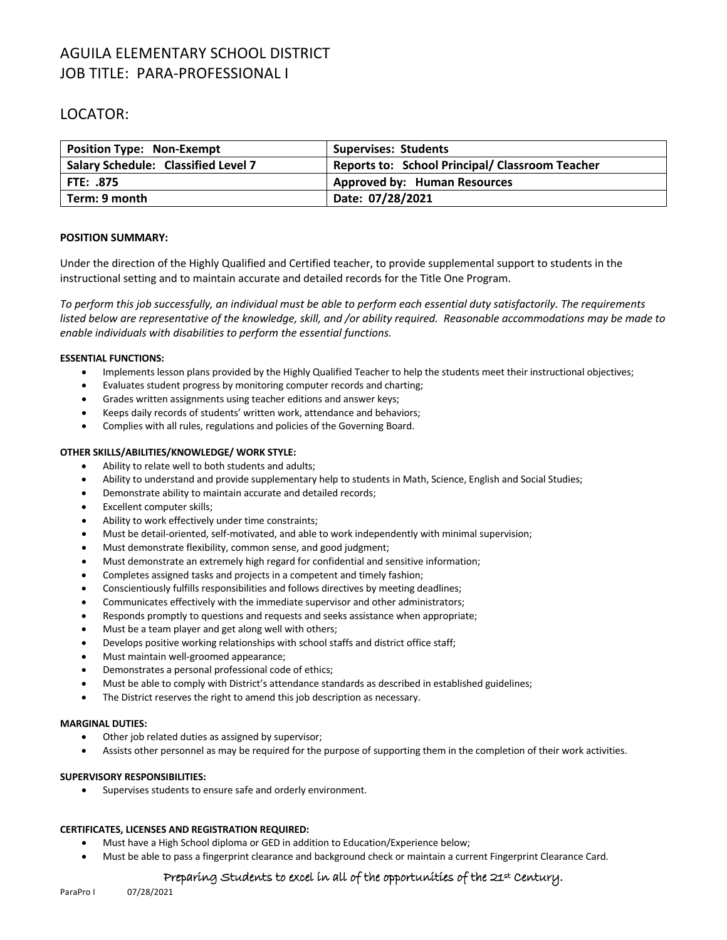# AGUILA ELEMENTARY SCHOOL DISTRICT JOB TITLE: PARA-PROFESSIONAL I

## LOCATOR:

| <b>Position Type: Non-Exempt</b>           | <b>Supervises: Students</b>                            |
|--------------------------------------------|--------------------------------------------------------|
| <b>Salary Schedule: Classified Level 7</b> | <b>Reports to: School Principal/ Classroom Teacher</b> |
| <b>FTE: .875</b>                           | <b>Approved by: Human Resources</b>                    |
| Term: 9 month                              | Date: 07/28/2021                                       |

### **POSITION SUMMARY:**

Under the direction of the Highly Qualified and Certified teacher, to provide supplemental support to students in the instructional setting and to maintain accurate and detailed records for the Title One Program.

*To perform this job successfully, an individual must be able to perform each essential duty satisfactorily. The requirements listed below are representative of the knowledge, skill, and /or ability required. Reasonable accommodations may be made to enable individuals with disabilities to perform the essential functions.*

### **ESSENTIAL FUNCTIONS:**

- Implements lesson plans provided by the Highly Qualified Teacher to help the students meet their instructional objectives;
- Evaluates student progress by monitoring computer records and charting;
- Grades written assignments using teacher editions and answer keys;
- Keeps daily records of students' written work, attendance and behaviors;
- Complies with all rules, regulations and policies of the Governing Board.

### **OTHER SKILLS/ABILITIES/KNOWLEDGE/ WORK STYLE:**

- Ability to relate well to both students and adults;
- Ability to understand and provide supplementary help to students in Math, Science, English and Social Studies;
- Demonstrate ability to maintain accurate and detailed records;
- Excellent computer skills;
- Ability to work effectively under time constraints;
- Must be detail-oriented, self-motivated, and able to work independently with minimal supervision;
- Must demonstrate flexibility, common sense, and good judgment;
- Must demonstrate an extremely high regard for confidential and sensitive information;
- Completes assigned tasks and projects in a competent and timely fashion;
- Conscientiously fulfills responsibilities and follows directives by meeting deadlines;
- Communicates effectively with the immediate supervisor and other administrators;
- Responds promptly to questions and requests and seeks assistance when appropriate;
- Must be a team player and get along well with others;
- Develops positive working relationships with school staffs and district office staff;
- Must maintain well-groomed appearance;
- Demonstrates a personal professional code of ethics;
- Must be able to comply with District's attendance standards as described in established guidelines;
- The District reserves the right to amend this job description as necessary.

### **MARGINAL DUTIES:**

- Other job related duties as assigned by supervisor;
- Assists other personnel as may be required for the purpose of supporting them in the completion of their work activities.

### **SUPERVISORY RESPONSIBILITIES:**

• Supervises students to ensure safe and orderly environment.

### **CERTIFICATES, LICENSES AND REGISTRATION REQUIRED:**

- Must have a High School diploma or GED in addition to Education/Experience below;
- Must be able to pass a fingerprint clearance and background check or maintain a current Fingerprint Clearance Card.

## Preparing Students to excel in all of the opportunities of the 21st Century.